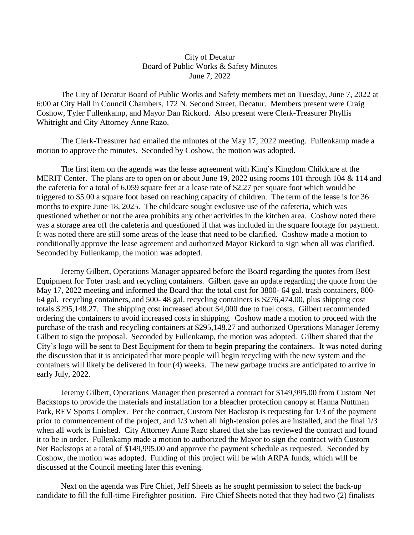## City of Decatur Board of Public Works & Safety Minutes June 7, 2022

 The City of Decatur Board of Public Works and Safety members met on Tuesday, June 7, 2022 at 6:00 at City Hall in Council Chambers, 172 N. Second Street, Decatur. Members present were Craig Coshow, Tyler Fullenkamp, and Mayor Dan Rickord. Also present were Clerk-Treasurer Phyllis Whitright and City Attorney Anne Razo.

 The Clerk-Treasurer had emailed the minutes of the May 17, 2022 meeting. Fullenkamp made a motion to approve the minutes. Seconded by Coshow, the motion was adopted.

 The first item on the agenda was the lease agreement with King's Kingdom Childcare at the MERIT Center. The plans are to open on or about June 19, 2022 using rooms 101 through 104 & 114 and the cafeteria for a total of 6,059 square feet at a lease rate of \$2.27 per square foot which would be triggered to \$5.00 a square foot based on reaching capacity of children. The term of the lease is for 36 months to expire June 18, 2025. The childcare sought exclusive use of the cafeteria, which was questioned whether or not the area prohibits any other activities in the kitchen area. Coshow noted there was a storage area off the cafeteria and questioned if that was included in the square footage for payment. It was noted there are still some areas of the lease that need to be clarified. Coshow made a motion to conditionally approve the lease agreement and authorized Mayor Rickord to sign when all was clarified. Seconded by Fullenkamp, the motion was adopted.

 Jeremy Gilbert, Operations Manager appeared before the Board regarding the quotes from Best Equipment for Toter trash and recycling containers. Gilbert gave an update regarding the quote from the May 17, 2022 meeting and informed the Board that the total cost for 3800- 64 gal. trash containers, 800- 64 gal. recycling containers, and 500- 48 gal. recycling containers is \$276,474.00, plus shipping cost totals \$295,148.27. The shipping cost increased about \$4,000 due to fuel costs. Gilbert recommended ordering the containers to avoid increased costs in shipping. Coshow made a motion to proceed with the purchase of the trash and recycling containers at \$295,148.27 and authorized Operations Manager Jeremy Gilbert to sign the proposal. Seconded by Fullenkamp, the motion was adopted. Gilbert shared that the City's logo will be sent to Best Equipment for them to begin preparing the containers. It was noted during the discussion that it is anticipated that more people will begin recycling with the new system and the containers will likely be delivered in four (4) weeks. The new garbage trucks are anticipated to arrive in early July, 2022.

 Jeremy Gilbert, Operations Manager then presented a contract for \$149,995.00 from Custom Net Backstops to provide the materials and installation for a bleacher protection canopy at Hanna Nuttman Park, REV Sports Complex. Per the contract, Custom Net Backstop is requesting for 1/3 of the payment prior to commencement of the project, and 1/3 when all high-tension poles are installed, and the final 1/3 when all work is finished. City Attorney Anne Razo shared that she has reviewed the contract and found it to be in order. Fullenkamp made a motion to authorized the Mayor to sign the contract with Custom Net Backstops at a total of \$149,995.00 and approve the payment schedule as requested. Seconded by Coshow, the motion was adopted. Funding of this project will be with ARPA funds, which will be discussed at the Council meeting later this evening.

 Next on the agenda was Fire Chief, Jeff Sheets as he sought permission to select the back-up candidate to fill the full-time Firefighter position. Fire Chief Sheets noted that they had two (2) finalists